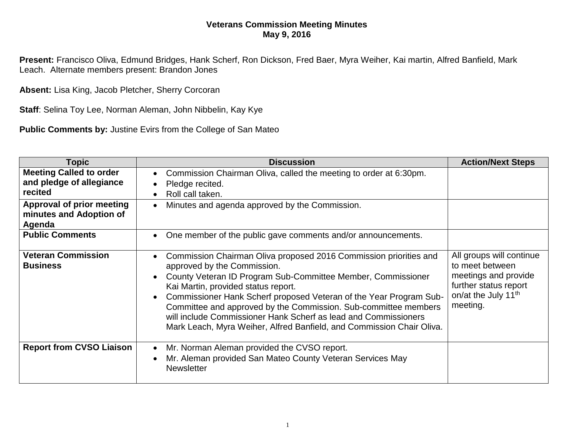## **Veterans Commission Meeting Minutes May 9, 2016**

**Present:** Francisco Oliva, Edmund Bridges, Hank Scherf, Ron Dickson, Fred Baer, Myra Weiher, Kai martin, Alfred Banfield, Mark Leach. Alternate members present: Brandon Jones

**Absent:** Lisa King, Jacob Pletcher, Sherry Corcoran

**Staff**: Selina Toy Lee, Norman Aleman, John Nibbelin, Kay Kye

**Public Comments by:** Justine Evirs from the College of San Mateo

| Topic                                                                                              | <b>Discussion</b>                                                                                                                                                                                                                                                                                                                                                                                                                                                                                         | <b>Action/Next Steps</b>                                                                                                                    |
|----------------------------------------------------------------------------------------------------|-----------------------------------------------------------------------------------------------------------------------------------------------------------------------------------------------------------------------------------------------------------------------------------------------------------------------------------------------------------------------------------------------------------------------------------------------------------------------------------------------------------|---------------------------------------------------------------------------------------------------------------------------------------------|
| <b>Meeting Called to order</b><br>and pledge of allegiance<br>recited<br>Approval of prior meeting | Commission Chairman Oliva, called the meeting to order at 6:30pm.<br>Pledge recited.<br>Roll call taken.<br>Minutes and agenda approved by the Commission.<br>$\bullet$                                                                                                                                                                                                                                                                                                                                   |                                                                                                                                             |
| minutes and Adoption of<br>Agenda                                                                  |                                                                                                                                                                                                                                                                                                                                                                                                                                                                                                           |                                                                                                                                             |
| <b>Public Comments</b>                                                                             | One member of the public gave comments and/or announcements.<br>$\bullet$                                                                                                                                                                                                                                                                                                                                                                                                                                 |                                                                                                                                             |
| <b>Veteran Commission</b><br><b>Business</b>                                                       | Commission Chairman Oliva proposed 2016 Commission priorities and<br>approved by the Commission.<br>County Veteran ID Program Sub-Committee Member, Commissioner<br>Kai Martin, provided status report.<br>Commissioner Hank Scherf proposed Veteran of the Year Program Sub-<br>$\bullet$<br>Committee and approved by the Commission. Sub-committee members<br>will include Commissioner Hank Scherf as lead and Commissioners<br>Mark Leach, Myra Weiher, Alfred Banfield, and Commission Chair Oliva. | All groups will continue<br>to meet between<br>meetings and provide<br>further status report<br>on/at the July 11 <sup>th</sup><br>meeting. |
| <b>Report from CVSO Liaison</b>                                                                    | Mr. Norman Aleman provided the CVSO report.<br>Mr. Aleman provided San Mateo County Veteran Services May<br><b>Newsletter</b>                                                                                                                                                                                                                                                                                                                                                                             |                                                                                                                                             |